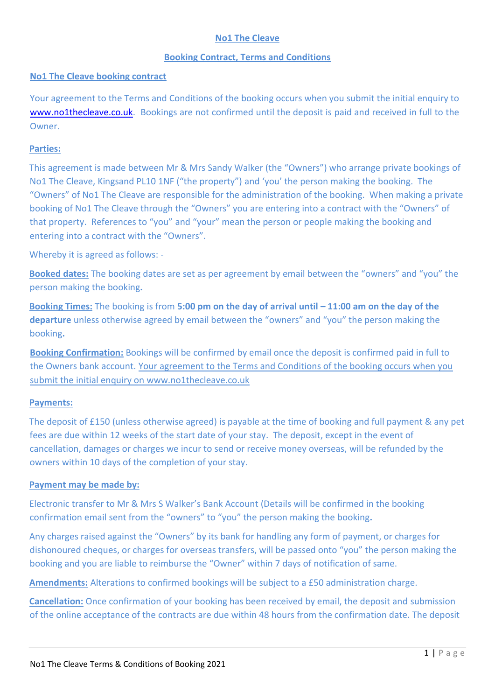# **No1 The Cleave**

### **Booking Contract, Terms and Conditions**

### **No1 The Cleave booking contract**

Your agreement to the Terms and Conditions of the booking occurs when you submit the initial enquiry to [www.no1thecleave.co.uk.](http://www.no1thecleave.co.uk/) Bookings are not confirmed until the deposit is paid and received in full to the Owner.

# **Parties:**

This agreement is made between Mr & Mrs Sandy Walker (the "Owners") who arrange private bookings of No1 The Cleave, Kingsand PL10 1NF ("the property") and 'you' the person making the booking. The "Owners" of No1 The Cleave are responsible for the administration of the booking. When making a private booking of No1 The Cleave through the "Owners" you are entering into a contract with the "Owners" of that property. References to "you" and "your" mean the person or people making the booking and entering into a contract with the "Owners".

Whereby it is agreed as follows: -

**Booked dates:** The booking dates are set as per agreement by email between the "owners" and "you" the person making the booking**.** 

**Booking Times:** The booking is from **5:00 pm on the day of arrival until – 11:00 am on the day of the departure** unless otherwise agreed by email between the "owners" and "you" the person making the booking**.** 

**Booking Confirmation:** Bookings will be confirmed by email once the deposit is confirmed paid in full to the Owners bank account. Your agreement to the Terms and Conditions of the booking occurs when you submit the initial enquiry on www.no1thecleave.co.uk

### **Payments:**

The deposit of £150 (unless otherwise agreed) is payable at the time of booking and full payment & any pet fees are due within 12 weeks of the start date of your stay. The deposit, except in the event of cancellation, damages or charges we incur to send or receive money overseas, will be refunded by the owners within 10 days of the completion of your stay.

### **Payment may be made by:**

Electronic transfer to Mr & Mrs S Walker's Bank Account (Details will be confirmed in the booking confirmation email sent from the "owners" to "you" the person making the booking**.** 

Any charges raised against the "Owners" by its bank for handling any form of payment, or charges for dishonoured cheques, or charges for overseas transfers, will be passed onto "you" the person making the booking and you are liable to reimburse the "Owner" within 7 days of notification of same.

**Amendments:** Alterations to confirmed bookings will be subject to a £50 administration charge.

**Cancellation:** Once confirmation of your booking has been received by email, the deposit and submission of the online acceptance of the contracts are due within 48 hours from the confirmation date. The deposit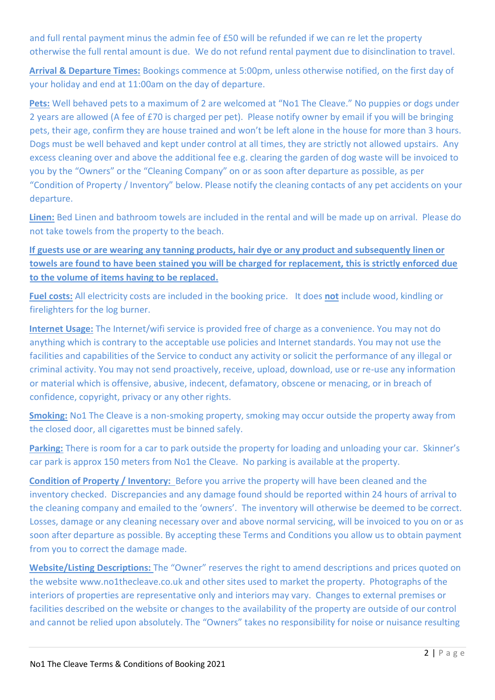and full rental payment minus the admin fee of £50 will be refunded if we can re let the property otherwise the full rental amount is due. We do not refund rental payment due to disinclination to travel.

**Arrival & Departure Times:** Bookings commence at 5:00pm, unless otherwise notified, on the first day of your holiday and end at 11:00am on the day of departure.

**Pets:** Well behaved pets to a maximum of 2 are welcomed at "No1 The Cleave." No puppies or dogs under 2 years are allowed (A fee of £70 is charged per pet). Please notify owner by email if you will be bringing pets, their age, confirm they are house trained and won't be left alone in the house for more than 3 hours. Dogs must be well behaved and kept under control at all times, they are strictly not allowed upstairs. Any excess cleaning over and above the additional fee e.g. clearing the garden of dog waste will be invoiced to you by the "Owners" or the "Cleaning Company" on or as soon after departure as possible, as per "Condition of Property / Inventory" below. Please notify the cleaning contacts of any pet accidents on your departure.

**Linen:** Bed Linen and bathroom towels are included in the rental and will be made up on arrival. Please do not take towels from the property to the beach.

**If guests use or are wearing any tanning products, hair dye or any product and subsequently linen or towels are found to have been stained you will be charged for replacement, this is strictly enforced due to the volume of items having to be replaced.**

**Fuel costs:** All electricity costs are included in the booking price. It does **not** include wood, kindling or firelighters for the log burner.

**Internet Usage:** The Internet/wifi service is provided free of charge as a convenience. You may not do anything which is contrary to the acceptable use policies and Internet standards. You may not use the facilities and capabilities of the Service to conduct any activity or solicit the performance of any illegal or criminal activity. You may not send proactively, receive, upload, download, use or re-use any information or material which is offensive, abusive, indecent, defamatory, obscene or menacing, or in breach of confidence, copyright, privacy or any other rights.

**Smoking:** No1 The Cleave is a non-smoking property, smoking may occur outside the property away from the closed door, all cigarettes must be binned safely.

Parking: There is room for a car to park outside the property for loading and unloading your car. Skinner's car park is approx 150 meters from No1 the Cleave. No parking is available at the property.

**Condition of Property / Inventory:** Before you arrive the property will have been cleaned and the inventory checked. Discrepancies and any damage found should be reported within 24 hours of arrival to the cleaning company and emailed to the 'owners'. The inventory will otherwise be deemed to be correct. Losses, damage or any cleaning necessary over and above normal servicing, will be invoiced to you on or as soon after departure as possible. By accepting these Terms and Conditions you allow us to obtain payment from you to correct the damage made.

**Website/Listing Descriptions:** The "Owner" reserves the right to amend descriptions and prices quoted on the website www.no1thecleave.co.uk and other sites used to market the property. Photographs of the interiors of properties are representative only and interiors may vary. Changes to external premises or facilities described on the website or changes to the availability of the property are outside of our control and cannot be relied upon absolutely. The "Owners" takes no responsibility for noise or nuisance resulting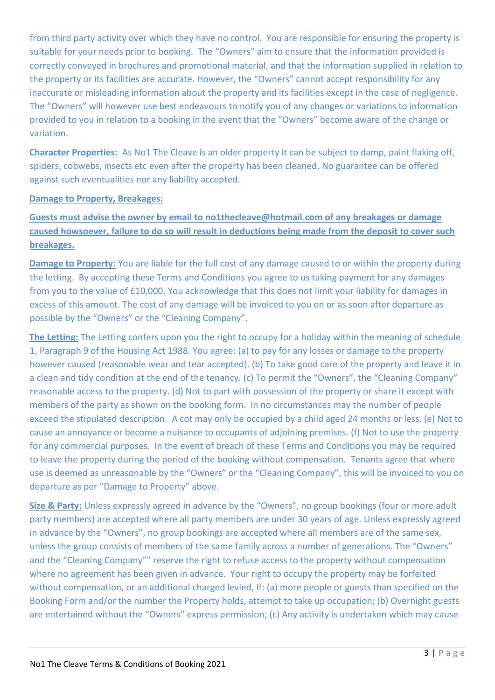from third party activity over which they have no control. You are responsible for ensuring the property is suitable for your needs prior to booking. The "Owners" aim to ensure that the information provided is correctly conveyed in brochures and promotional material, and that the information supplied in relation to the property or its facilities are accurate. However, the "Owners" cannot accept responsibility for any inaccurate or misleading information about the property and its facilities except in the case of negligence. The "Owners" will however use best endeavours to notify you of any changes or variations to information provided to you in relation to a booking in the event that the "Owners" become aware of the change or variation.

**Character Properties:** As No1 The Cleave is an older property it can be subject to damp, paint flaking off, spiders, cobwebs, insects etc even after the property has been cleaned. No guarantee can be offered against such eventualities nor any liability accepted.

# **Damage to Property, Breakages:**

**Guests must advise the owner by email to no1thecleave@hotmail.com of any breakages or damage caused howsoever, failure to do so will result in deductions being made from the deposit to cover such breakages.**

**Damage to Property:** You are liable for the full cost of any damage caused to or within the property during the letting. By accepting these Terms and Conditions you agree to us taking payment for any damages from you to the value of £10,000. You acknowledge that this does not limit your liability for damages in excess of this amount. The cost of any damage will be invoiced to you on or as soon after departure as possible by the "Owners" or the "Cleaning Company".

**The Letting:** The Letting confers upon you the right to occupy for a holiday within the meaning of schedule 1, Paragraph 9 of the Housing Act 1988. You agree: (a) to pay for any losses or damage to the property however caused (reasonable wear and tear accepted). (b) To take good care of the property and leave it in a clean and tidy condition at the end of the tenancy. (c) To permit the "Owners", the "Cleaning Company" reasonable access to the property. (d) Not to part with possession of the property or share it except with members of the party as shown on the booking form. In no circumstances may the number of people exceed the stipulated description. A cot may only be occupied by a child aged 24 months or less. (e) Not to cause an annoyance or become a nuisance to occupants of adjoining premises. (f) Not to use the property for any commercial purposes. In the event of breach of these Terms and Conditions you may be required to leave the property during the period of the booking without compensation. Tenants agree that where use is deemed as unreasonable by the "Owners" or the "Cleaning Company", this will be invoiced to you on departure as per "Damage to Property" above.

**Size & Party:** Unless expressly agreed in advance by the "Owners", no group bookings (four or more adult party members) are accepted where all party members are under 30 years of age. Unless expressly agreed in advance by the "Owners", no group bookings are accepted where all members are of the same sex, unless the group consists of members of the same family across a number of generations. The "Owners" and the "Cleaning Company"" reserve the right to refuse access to the property without compensation where no agreement has been given in advance. Your right to occupy the property may be forfeited without compensation, or an additional charged levied, if: (a) more people or guests than specified on the Booking Form and/or the number the Property holds, attempt to take up occupation; (b) Overnight guests are entertained without the "Owners" express permission; (c) Any activity is undertaken which may cause